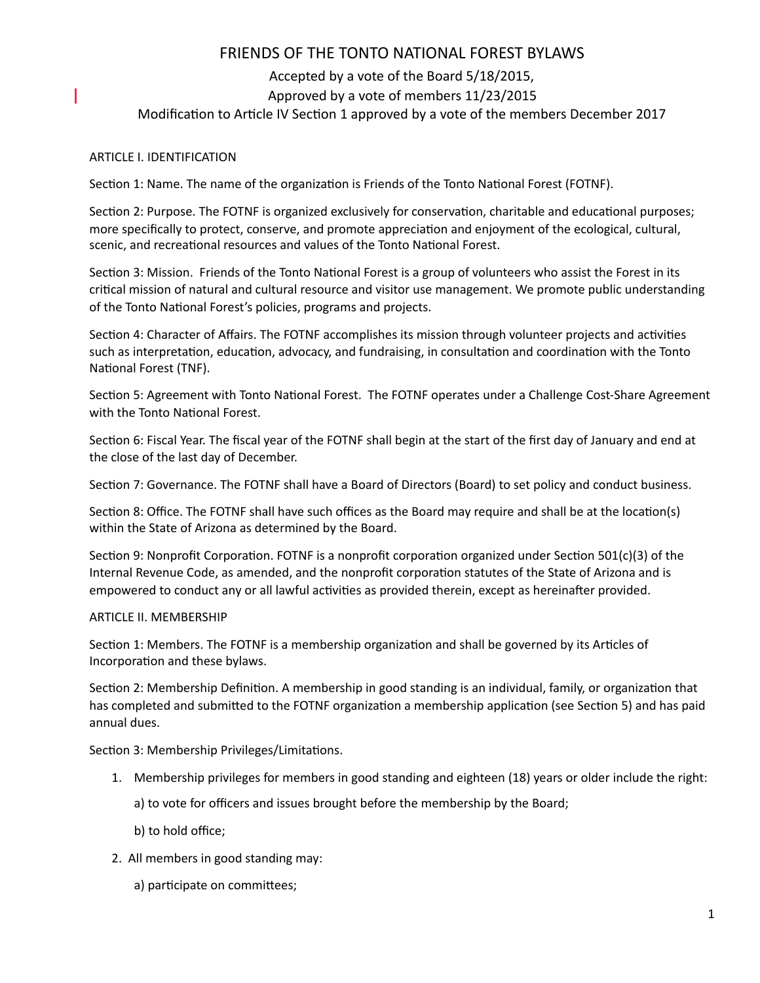# FRIENDS OF THE TONTO NATIONAL FOREST BYLAWS

## Accepted by a vote of the Board 5/18/2015, Approved by a vote of members 11/23/2015 Modification to Article IV Section 1 approved by a vote of the members December 2017

## ARTICLE I. IDENTIFICATION

I

Section 1: Name. The name of the organization is Friends of the Tonto National Forest (FOTNF).

Section 2: Purpose. The FOTNF is organized exclusively for conservation, charitable and educational purposes; more specifically to protect, conserve, and promote appreciation and enjoyment of the ecological, cultural, scenic, and recreational resources and values of the Tonto National Forest.

Section 3: Mission. Friends of the Tonto National Forest is a group of volunteers who assist the Forest in its critical mission of natural and cultural resource and visitor use management. We promote public understanding of the Tonto National Forest's policies, programs and projects.

Section 4: Character of Affairs. The FOTNF accomplishes its mission through volunteer projects and activities such as interpretation, education, advocacy, and fundraising, in consultation and coordination with the Tonto National Forest (TNF).

Section 5: Agreement with Tonto National Forest. The FOTNF operates under a Challenge Cost-Share Agreement with the Tonto National Forest.

Section 6: Fiscal Year. The fiscal year of the FOTNF shall begin at the start of the first day of January and end at the close of the last day of December.

Section 7: Governance. The FOTNF shall have a Board of Directors (Board) to set policy and conduct business.

Section 8: Office. The FOTNF shall have such offices as the Board may require and shall be at the location(s) within the State of Arizona as determined by the Board.

Section 9: Nonprofit Corporation. FOTNF is a nonprofit corporation organized under Section 501(c)(3) of the Internal Revenue Code, as amended, and the nonprofit corporation statutes of the State of Arizona and is empowered to conduct any or all lawful activities as provided therein, except as hereinafter provided.

### ARTICLE II. MEMBERSHIP

Section 1: Members. The FOTNF is a membership organization and shall be governed by its Articles of Incorporation and these bylaws.

Section 2: Membership Definition. A membership in good standing is an individual, family, or organization that has completed and submitted to the FOTNF organization a membership application (see Section 5) and has paid annual dues.

Section 3: Membership Privileges/Limitations.

1. Membership privileges for members in good standing and eighteen (18) years or older include the right:

a) to vote for officers and issues brought before the membership by the Board;

- b) to hold office;
- 2. All members in good standing may:
	- a) participate on committees;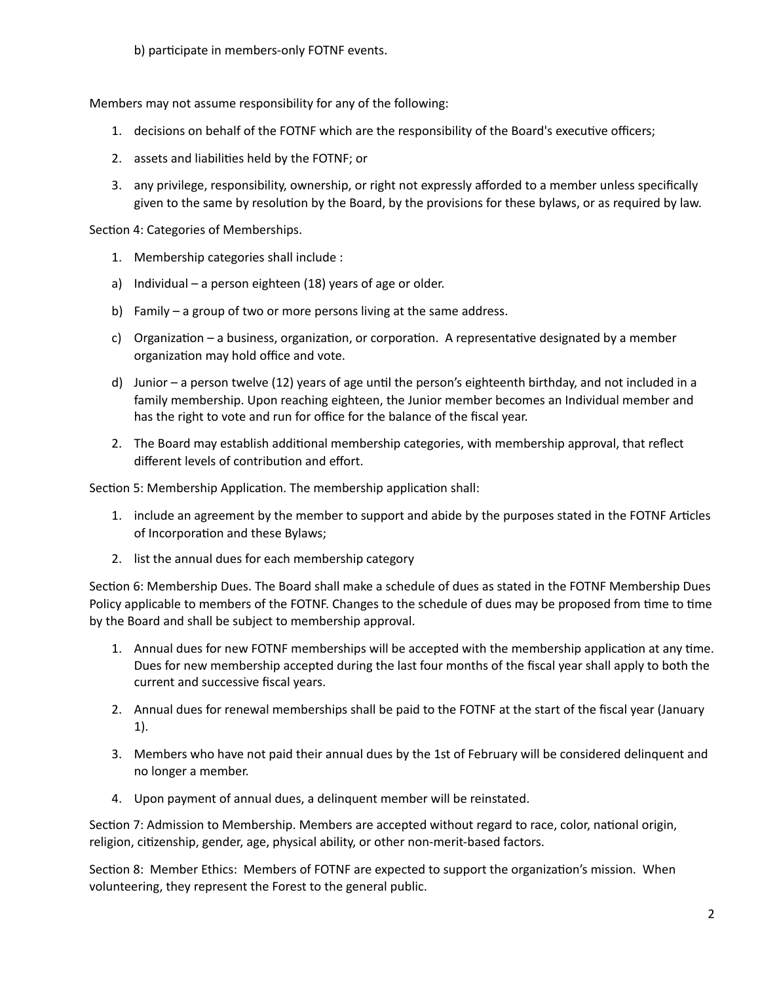b) participate in members-only FOTNF events.

Members may not assume responsibility for any of the following:

- 1. decisions on behalf of the FOTNF which are the responsibility of the Board's executive officers;
- 2. assets and liabilities held by the FOTNF; or
- 3. any privilege, responsibility, ownership, or right not expressly afforded to a member unless specifically given to the same by resolution by the Board, by the provisions for these bylaws, or as required by law.

Section 4: Categories of Memberships.

- 1. Membership categories shall include :
- a) Individual a person eighteen (18) years of age or older.
- b) Family a group of two or more persons living at the same address.
- c) Organization a business, organization, or corporation. A representative designated by a member organization may hold office and vote.
- d) Junior a person twelve (12) years of age until the person's eighteenth birthday, and not included in a family membership. Upon reaching eighteen, the Junior member becomes an Individual member and has the right to vote and run for office for the balance of the fiscal year.
- 2. The Board may establish additional membership categories, with membership approval, that reflect different levels of contribution and effort.

Section 5: Membership Application. The membership application shall:

- 1. include an agreement by the member to support and abide by the purposes stated in the FOTNF Articles of Incorporation and these Bylaws;
- 2. list the annual dues for each membership category

Section 6: Membership Dues. The Board shall make a schedule of dues as stated in the FOTNF Membership Dues Policy applicable to members of the FOTNF. Changes to the schedule of dues may be proposed from time to time by the Board and shall be subject to membership approval.

- 1. Annual dues for new FOTNF memberships will be accepted with the membership application at any time. Dues for new membership accepted during the last four months of the fiscal year shall apply to both the current and successive fiscal years.
- 2. Annual dues for renewal memberships shall be paid to the FOTNF at the start of the fiscal year (January 1).
- 3. Members who have not paid their annual dues by the 1st of February will be considered delinquent and no longer a member.
- 4. Upon payment of annual dues, a delinquent member will be reinstated.

Section 7: Admission to Membership. Members are accepted without regard to race, color, national origin, religion, citizenship, gender, age, physical ability, or other non-merit-based factors.

Section 8: Member Ethics: Members of FOTNF are expected to support the organization's mission. When volunteering, they represent the Forest to the general public.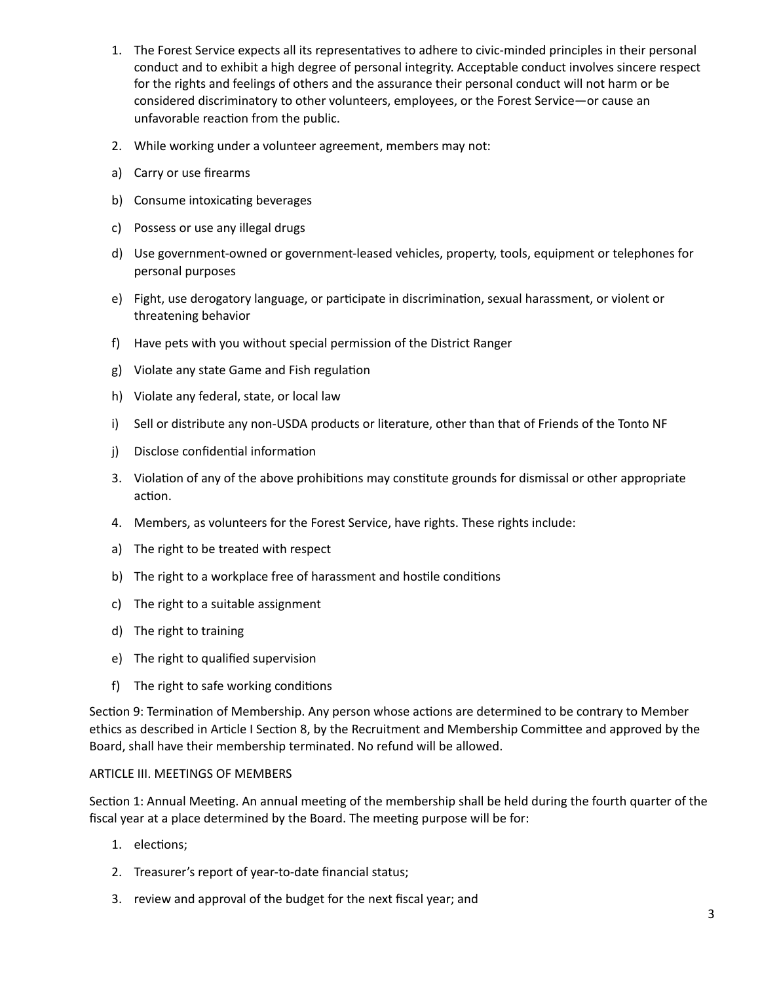- 1. The Forest Service expects all its representatives to adhere to civic-minded principles in their personal conduct and to exhibit a high degree of personal integrity. Acceptable conduct involves sincere respect for the rights and feelings of others and the assurance their personal conduct will not harm or be considered discriminatory to other volunteers, employees, or the Forest Service—or cause an unfavorable reaction from the public.
- 2. While working under a volunteer agreement, members may not:
- a) Carry or use firearms
- b) Consume intoxicating beverages
- c) Possess or use any illegal drugs
- d) Use government-owned or government-leased vehicles, property, tools, equipment or telephones for personal purposes
- e) Fight, use derogatory language, or participate in discrimination, sexual harassment, or violent or threatening behavior
- f) Have pets with you without special permission of the District Ranger
- g) Violate any state Game and Fish regulation
- h) Violate any federal, state, or local law
- i) Sell or distribute any non-USDA products or literature, other than that of Friends of the Tonto NF
- j) Disclose confidential information
- 3. Violation of any of the above prohibitions may constitute grounds for dismissal or other appropriate action.
- 4. Members, as volunteers for the Forest Service, have rights. These rights include:
- a) The right to be treated with respect
- b) The right to a workplace free of harassment and hostile conditions
- c) The right to a suitable assignment
- d) The right to training
- e) The right to qualified supervision
- $f$ ) The right to safe working conditions

Section 9: Termination of Membership. Any person whose actions are determined to be contrary to Member ethics as described in Article I Section 8, by the Recruitment and Membership Committee and approved by the Board, shall have their membership terminated. No refund will be allowed.

### ARTICLE III. MEETINGS OF MEMBERS

Section 1: Annual Meeting. An annual meeting of the membership shall be held during the fourth quarter of the fiscal year at a place determined by the Board. The meeting purpose will be for:

- 1. elections;
- 2. Treasurer's report of year-to-date financial status;
- 3. review and approval of the budget for the next fiscal year; and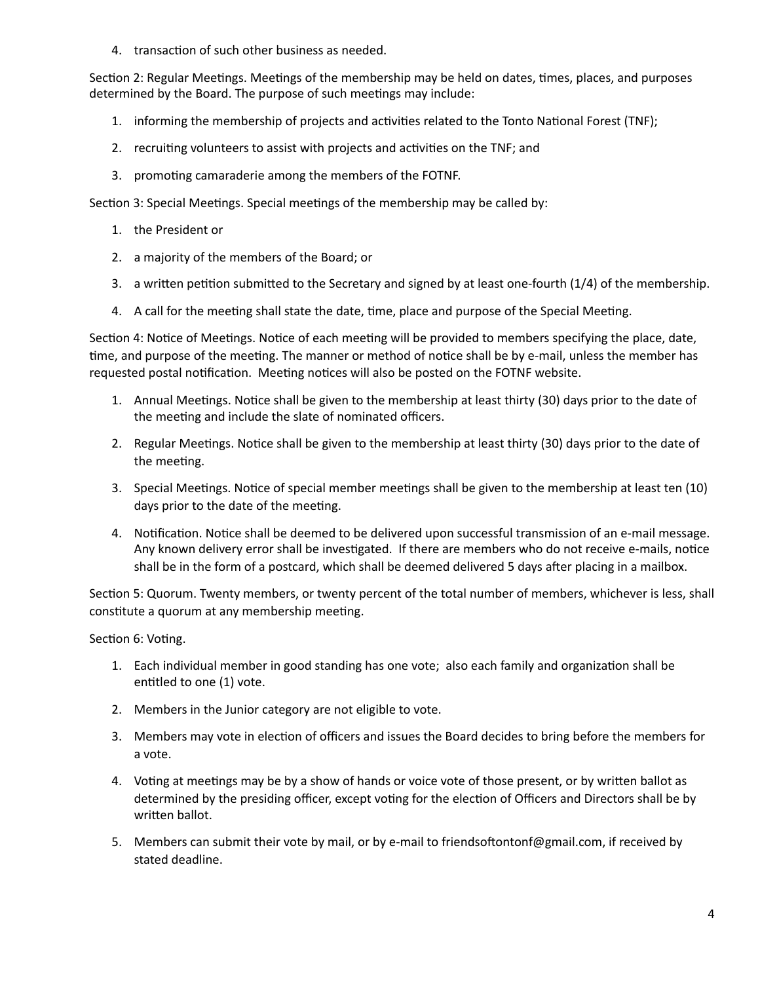4. transaction of such other business as needed.

Section 2: Regular Meetings. Meetings of the membership may be held on dates, times, places, and purposes determined by the Board. The purpose of such meetings may include:

- 1. informing the membership of projects and activities related to the Tonto National Forest (TNF);
- 2. recruiting volunteers to assist with projects and activities on the TNF; and
- 3. promoting camaraderie among the members of the FOTNF.

Section 3: Special Meetings. Special meetings of the membership may be called by:

- 1. the President or
- 2. a majority of the members of the Board; or
- 3. a written petition submitted to the Secretary and signed by at least one-fourth  $(1/4)$  of the membership.
- 4. A call for the meeting shall state the date, time, place and purpose of the Special Meeting.

Section 4: Notice of Meetings. Notice of each meeting will be provided to members specifying the place, date, time, and purpose of the meeting. The manner or method of notice shall be by e-mail, unless the member has requested postal notification. Meeting notices will also be posted on the FOTNF website.

- 1. Annual Meetings. Notice shall be given to the membership at least thirty (30) days prior to the date of the meeting and include the slate of nominated officers.
- 2. Regular Meetings. Notice shall be given to the membership at least thirty (30) days prior to the date of the meeting.
- 3. Special Meetings. Notice of special member meetings shall be given to the membership at least ten (10) days prior to the date of the meeting.
- 4. Notification. Notice shall be deemed to be delivered upon successful transmission of an e-mail message. Any known delivery error shall be investigated. If there are members who do not receive e-mails, notice shall be in the form of a postcard, which shall be deemed delivered 5 days after placing in a mailbox.

Section 5: Quorum. Twenty members, or twenty percent of the total number of members, whichever is less, shall constitute a quorum at any membership meeting.

Section 6: Voting.

- 1. Each individual member in good standing has one vote; also each family and organization shall be entitled to one (1) vote.
- 2. Members in the Junior category are not eligible to vote.
- 3. Members may vote in election of officers and issues the Board decides to bring before the members for a vote.
- 4. Voting at meetings may be by a show of hands or voice vote of those present, or by written ballot as determined by the presiding officer, except voting for the election of Officers and Directors shall be by written ballot.
- 5. Members can submit their vote by mail, or by e-mail to friendsoftontonf@gmail.com, if received by stated deadline.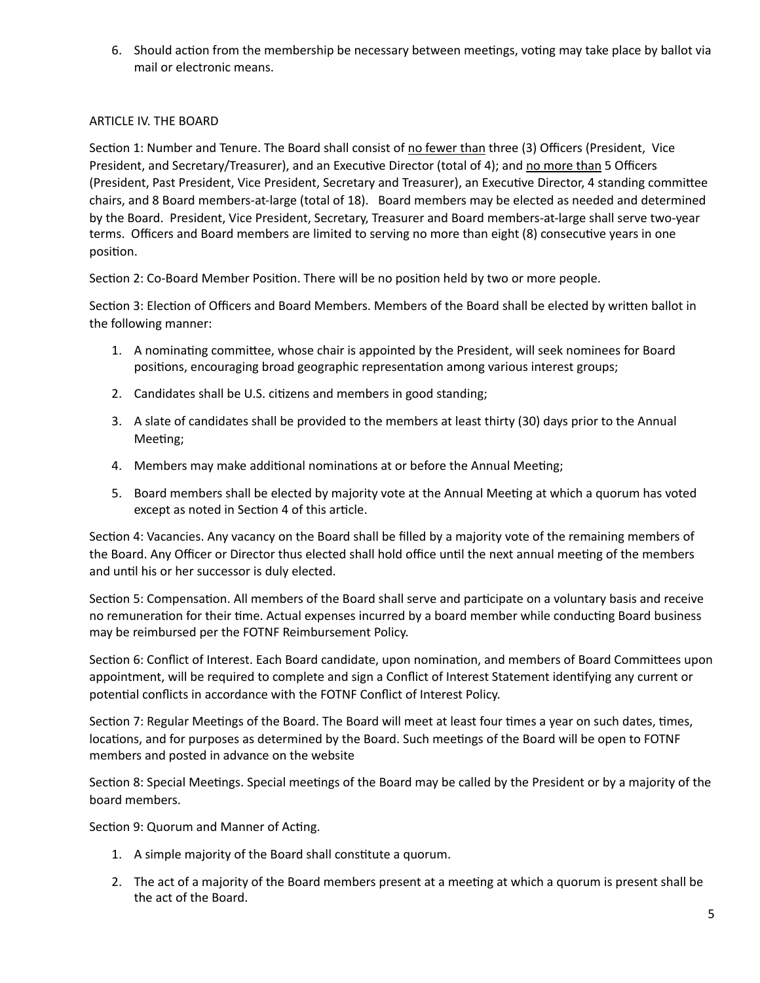6. Should action from the membership be necessary between meetings, voting may take place by ballot via mail or electronic means.

## ARTICLE IV. THE BOARD

Section 1: Number and Tenure. The Board shall consist of no fewer than three (3) Officers (President, Vice President, and Secretary/Treasurer), and an Executive Director (total of 4); and no more than 5 Officers (President, Past President, Vice President, Secretary and Treasurer), an Executive Director, 4 standing committee chairs, and 8 Board members-at-large (total of 18). Board members may be elected as needed and determined by the Board. President, Vice President, Secretary, Treasurer and Board members-at-large shall serve two-year terms. Officers and Board members are limited to serving no more than eight (8) consecutive years in one position.

Section 2: Co-Board Member Position. There will be no position held by two or more people.

Section 3: Election of Officers and Board Members. Members of the Board shall be elected by written ballot in the following manner:

- 1. A nominating committee, whose chair is appointed by the President, will seek nominees for Board positions, encouraging broad geographic representation among various interest groups;
- 2. Candidates shall be U.S. citizens and members in good standing;
- 3. A slate of candidates shall be provided to the members at least thirty (30) days prior to the Annual Meeting;
- 4. Members may make additional nominations at or before the Annual Meeting;
- 5. Board members shall be elected by majority vote at the Annual Meeting at which a quorum has voted except as noted in Section 4 of this article.

Section 4: Vacancies. Any vacancy on the Board shall be filled by a majority vote of the remaining members of the Board. Any Officer or Director thus elected shall hold office until the next annual meeting of the members and until his or her successor is duly elected.

Section 5: Compensation. All members of the Board shall serve and participate on a voluntary basis and receive no remuneration for their time. Actual expenses incurred by a board member while conducting Board business may be reimbursed per the FOTNF Reimbursement Policy.

Section 6: Conflict of Interest. Each Board candidate, upon nomination, and members of Board Committees upon appointment, will be required to complete and sign a Conflict of Interest Statement identifying any current or potential conflicts in accordance with the FOTNF Conflict of Interest Policy.

Section 7: Regular Meetings of the Board. The Board will meet at least four times a year on such dates, times, locations, and for purposes as determined by the Board. Such meetings of the Board will be open to FOTNF members and posted in advance on the website

Section 8: Special Meetings. Special meetings of the Board may be called by the President or by a majority of the board members.

Section 9: Quorum and Manner of Acting.

- 1. A simple majority of the Board shall constitute a quorum.
- 2. The act of a majority of the Board members present at a meeting at which a quorum is present shall be the act of the Board.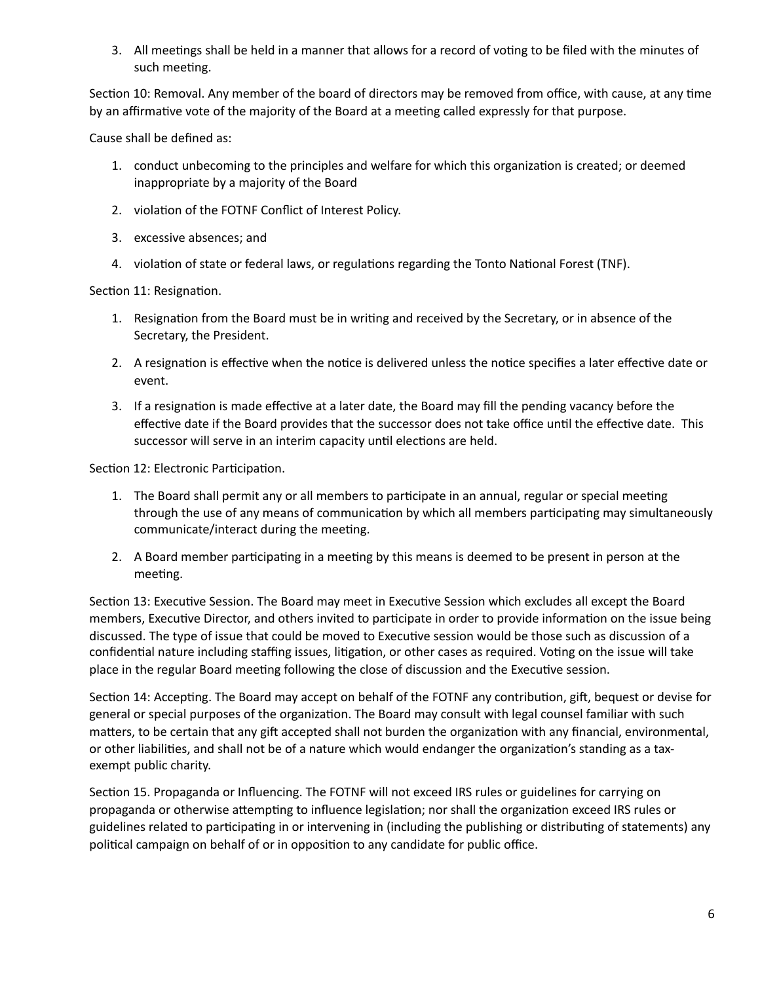3. All meetings shall be held in a manner that allows for a record of voting to be filed with the minutes of such meeting.

Section 10: Removal. Any member of the board of directors may be removed from office, with cause, at any time by an affirmative vote of the majority of the Board at a meeting called expressly for that purpose.

Cause shall be defined as:

- 1. conduct unbecoming to the principles and welfare for which this organization is created; or deemed inappropriate by a majority of the Board
- 2. violation of the FOTNF Conflict of Interest Policy.
- 3. excessive absences; and
- 4. violation of state or federal laws, or regulations regarding the Tonto National Forest (TNF).

Section 11: Resignation.

- 1. Resignation from the Board must be in writing and received by the Secretary, or in absence of the Secretary, the President.
- 2. A resignation is effective when the notice is delivered unless the notice specifies a later effective date or event.
- 3. If a resignation is made effective at a later date, the Board may fill the pending vacancy before the effective date if the Board provides that the successor does not take office until the effective date. This successor will serve in an interim capacity until elections are held.

Section 12: Electronic Participation.

- 1. The Board shall permit any or all members to participate in an annual, regular or special meeting through the use of any means of communication by which all members participating may simultaneously communicate/interact during the meeting.
- 2. A Board member participating in a meeting by this means is deemed to be present in person at the meeting.

Section 13: Executive Session. The Board may meet in Executive Session which excludes all except the Board members, Executive Director, and others invited to participate in order to provide information on the issue being discussed. The type of issue that could be moved to Executive session would be those such as discussion of a confidential nature including staffing issues, litigation, or other cases as required. Voting on the issue will take place in the regular Board meeting following the close of discussion and the Executive session.

Section 14: Accepting. The Board may accept on behalf of the FOTNF any contribution, gift, bequest or devise for general or special purposes of the organization. The Board may consult with legal counsel familiar with such matters, to be certain that any gift accepted shall not burden the organization with any financial, environmental, or other liabilities, and shall not be of a nature which would endanger the organization's standing as a taxexempt public charity.

Section 15. Propaganda or Influencing. The FOTNF will not exceed IRS rules or guidelines for carrying on propaganda or otherwise attempting to influence legislation; nor shall the organization exceed IRS rules or guidelines related to participating in or intervening in (including the publishing or distributing of statements) any political campaign on behalf of or in opposition to any candidate for public office.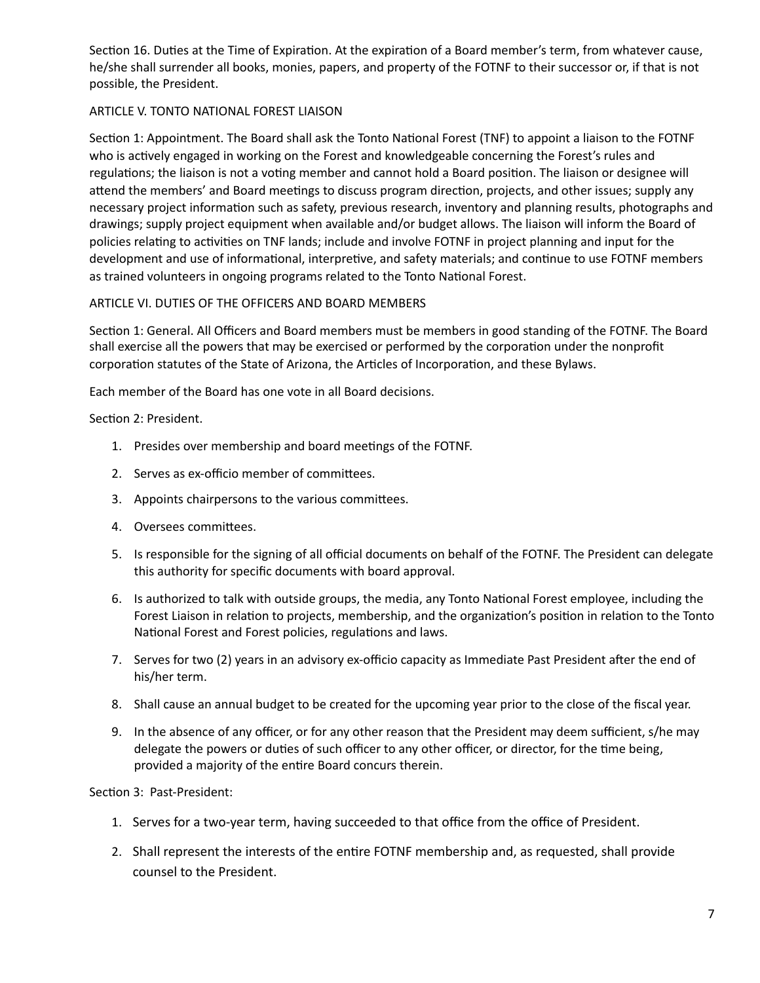Section 16. Duties at the Time of Expiration. At the expiration of a Board member's term, from whatever cause, he/she shall surrender all books, monies, papers, and property of the FOTNF to their successor or, if that is not possible, the President.

## ARTICLE V. TONTO NATIONAL FOREST LIAISON

Section 1: Appointment. The Board shall ask the Tonto National Forest (TNF) to appoint a liaison to the FOTNF who is actively engaged in working on the Forest and knowledgeable concerning the Forest's rules and regulations; the liaison is not a voting member and cannot hold a Board position. The liaison or designee will attend the members' and Board meetings to discuss program direction, projects, and other issues; supply any necessary project information such as safety, previous research, inventory and planning results, photographs and drawings; supply project equipment when available and/or budget allows. The liaison will inform the Board of policies relating to activities on TNF lands; include and involve FOTNF in project planning and input for the development and use of informational, interpretive, and safety materials; and continue to use FOTNF members as trained volunteers in ongoing programs related to the Tonto National Forest.

## ARTICLE VI. DUTIES OF THE OFFICERS AND BOARD MEMBERS

Section 1: General. All Officers and Board members must be members in good standing of the FOTNF. The Board shall exercise all the powers that may be exercised or performed by the corporation under the nonprofit corporation statutes of the State of Arizona, the Articles of Incorporation, and these Bylaws.

Each member of the Board has one vote in all Board decisions.

Section 2: President.

- 1. Presides over membership and board meetings of the FOTNF.
- 2. Serves as ex-officio member of committees.
- 3. Appoints chairpersons to the various committees.
- 4. Oversees committees.
- 5. Is responsible for the signing of all official documents on behalf of the FOTNF. The President can delegate this authority for specific documents with board approval.
- 6. Is authorized to talk with outside groups, the media, any Tonto National Forest employee, including the Forest Liaison in relation to projects, membership, and the organization's position in relation to the Tonto National Forest and Forest policies, regulations and laws.
- 7. Serves for two (2) years in an advisory ex-officio capacity as Immediate Past President after the end of his/her term.
- 8. Shall cause an annual budget to be created for the upcoming year prior to the close of the fiscal year.
- 9. In the absence of any officer, or for any other reason that the President may deem sufficient, s/he may delegate the powers or duties of such officer to any other officer, or director, for the time being, provided a majority of the entire Board concurs therein.

Section 3: Past-President:

- 1. Serves for a two-year term, having succeeded to that office from the office of President.
- 2. Shall represent the interests of the entire FOTNF membership and, as requested, shall provide counsel to the President.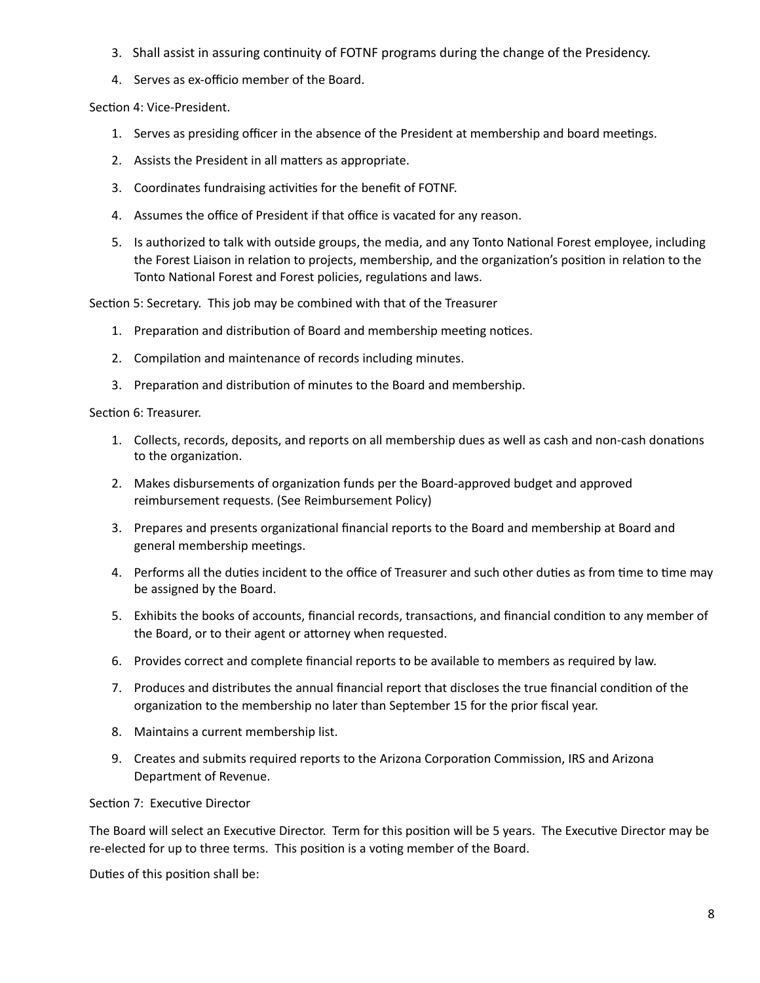- 3. Shall assist in assuring continuity of FOTNF programs during the change of the Presidency.
- 4. Serves as ex-officio member of the Board.

Section 4: Vice-President.

- 1. Serves as presiding officer in the absence of the President at membership and board meetings.
- 2. Assists the President in all matters as appropriate.
- 3. Coordinates fundraising activities for the benefit of FOTNF.
- 4. Assumes the office of President if that office is vacated for any reason.
- 5. Is authorized to talk with outside groups, the media, and any Tonto National Forest employee, including the Forest Liaison in relation to projects, membership, and the organization's position in relation to the Tonto National Forest and Forest policies, regulations and laws.

Section 5: Secretary. This job may be combined with that of the Treasurer

- 1. Preparation and distribution of Board and membership meeting notices.
- 2. Compilation and maintenance of records including minutes.
- 3. Preparation and distribution of minutes to the Board and membership.

Section 6: Treasurer.

- 1. Collects, records, deposits, and reports on all membership dues as well as cash and non-cash donations to the organization.
- 2. Makes disbursements of organization funds per the Board-approved budget and approved reimbursement requests. (See Reimbursement Policy)
- 3. Prepares and presents organizational financial reports to the Board and membership at Board and general membership meetings.
- 4. Performs all the duties incident to the office of Treasurer and such other duties as from time to time may be assigned by the Board.
- 5. Exhibits the books of accounts, financial records, transactions, and financial condition to any member of the Board, or to their agent or attorney when requested.
- 6. Provides correct and complete financial reports to be available to members as required by law.
- 7. Produces and distributes the annual financial report that discloses the true financial condition of the organization to the membership no later than September 15 for the prior fiscal year.
- 8. Maintains a current membership list.
- 9. Creates and submits required reports to the Arizona Corporation Commission, IRS and Arizona Department of Revenue.

Section 7: Executive Director

The Board will select an Executive Director. Term for this position will be 5 years. The Executive Director may be re-elected for up to three terms. This position is a voting member of the Board.

Duties of this position shall be: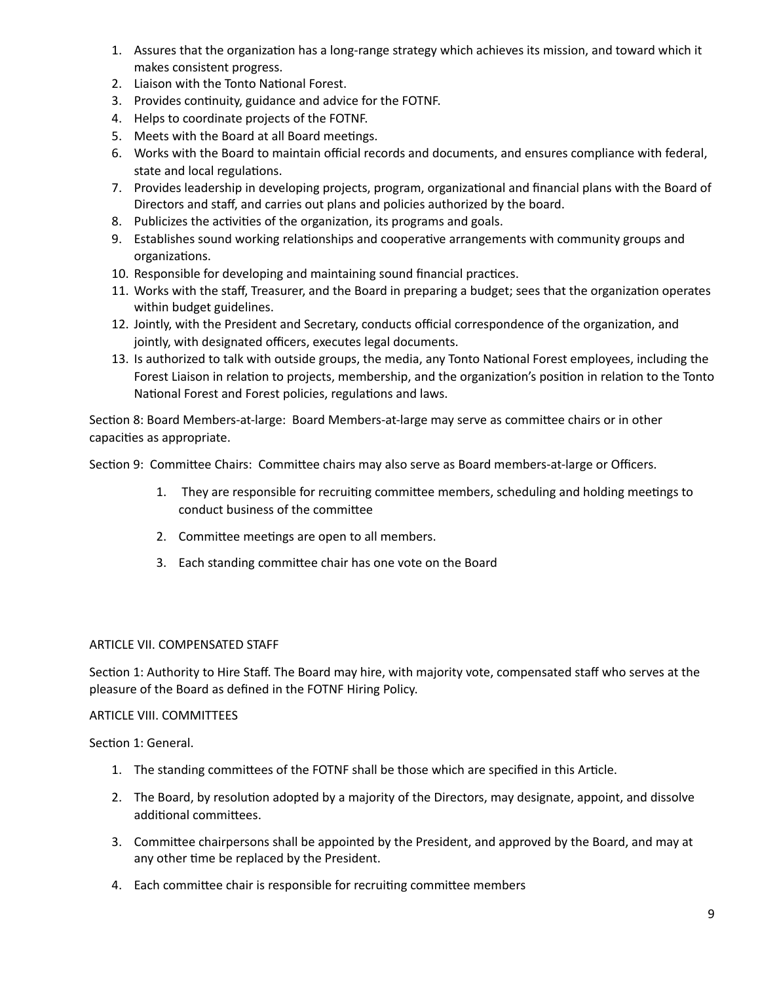- 1. Assures that the organization has a long-range strategy which achieves its mission, and toward which it makes consistent progress.
- 2. Liaison with the Tonto National Forest.
- 3. Provides continuity, guidance and advice for the FOTNF.
- 4. Helps to coordinate projects of the FOTNF.
- 5. Meets with the Board at all Board meetings.
- 6. Works with the Board to maintain official records and documents, and ensures compliance with federal, state and local regulations.
- 7. Provides leadership in developing projects, program, organizational and financial plans with the Board of Directors and staff, and carries out plans and policies authorized by the board.
- 8. Publicizes the activities of the organization, its programs and goals.
- 9. Establishes sound working relationships and cooperative arrangements with community groups and organizations.
- 10. Responsible for developing and maintaining sound financial practices.
- 11. Works with the staff, Treasurer, and the Board in preparing a budget; sees that the organization operates within budget guidelines.
- 12. Jointly, with the President and Secretary, conducts official correspondence of the organization, and jointly, with designated officers, executes legal documents.
- 13. Is authorized to talk with outside groups, the media, any Tonto National Forest employees, including the Forest Liaison in relation to projects, membership, and the organization's position in relation to the Tonto National Forest and Forest policies, regulations and laws.

Section 8: Board Members-at-large: Board Members-at-large may serve as committee chairs or in other capacities as appropriate.

Section 9: Committee Chairs: Committee chairs may also serve as Board members-at-large or Officers.

- 1. They are responsible for recruiting committee members, scheduling and holding meetings to conduct business of the committee
- 2. Committee meetings are open to all members.
- 3. Each standing committee chair has one vote on the Board

## ARTICLE VII. COMPENSATED STAFF

Section 1: Authority to Hire Staff. The Board may hire, with majority vote, compensated staff who serves at the pleasure of the Board as defined in the FOTNF Hiring Policy.

### ARTICLE VIII. COMMITTEES

Section 1: General.

- 1. The standing committees of the FOTNF shall be those which are specified in this Article.
- 2. The Board, by resolution adopted by a majority of the Directors, may designate, appoint, and dissolve additional committees.
- 3. Committee chairpersons shall be appointed by the President, and approved by the Board, and may at any other time be replaced by the President.
- 4. Each committee chair is responsible for recruiting committee members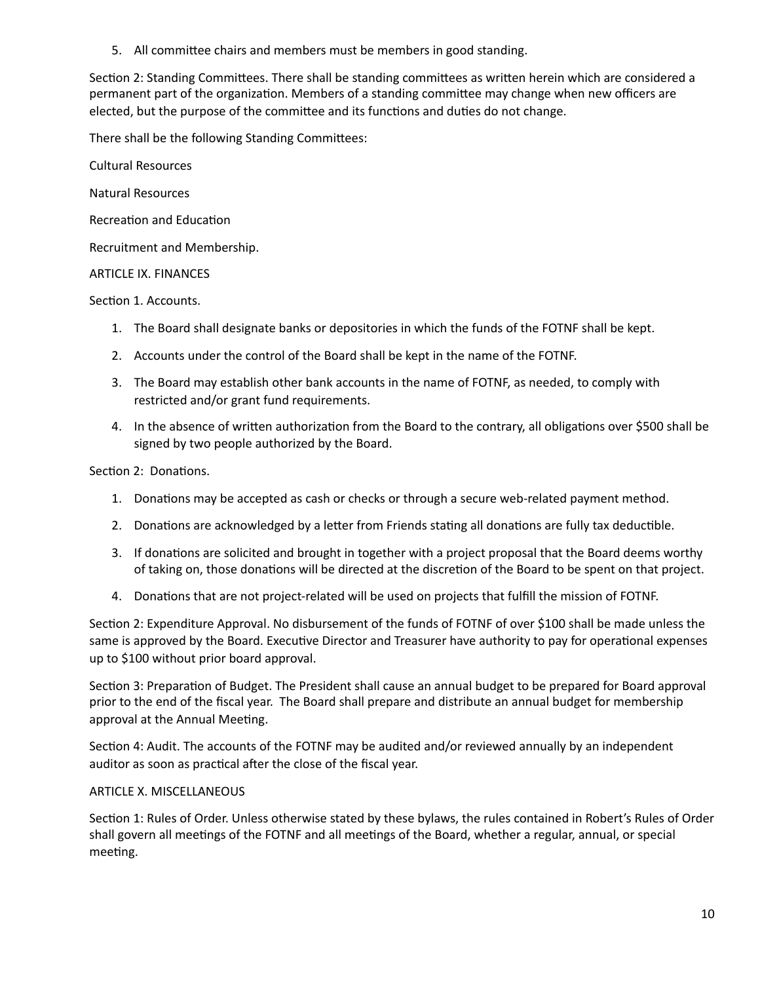5. All committee chairs and members must be members in good standing.

Section 2: Standing Committees. There shall be standing committees as written herein which are considered a permanent part of the organization. Members of a standing committee may change when new officers are elected, but the purpose of the committee and its functions and duties do not change.

There shall be the following Standing Committees:

Cultural Resources

Natural Resources

Recreation and Education

Recruitment and Membership.

### ARTICLE IX. FINANCES

Section 1. Accounts.

- 1. The Board shall designate banks or depositories in which the funds of the FOTNF shall be kept.
- 2. Accounts under the control of the Board shall be kept in the name of the FOTNF.
- 3. The Board may establish other bank accounts in the name of FOTNF, as needed, to comply with restricted and/or grant fund requirements.
- 4. In the absence of written authorization from the Board to the contrary, all obligations over \$500 shall be signed by two people authorized by the Board.

Section 2: Donations.

- 1. Donations may be accepted as cash or checks or through a secure web-related payment method.
- 2. Donations are acknowledged by a letter from Friends stating all donations are fully tax deductible.
- 3. If donations are solicited and brought in together with a project proposal that the Board deems worthy of taking on, those donations will be directed at the discretion of the Board to be spent on that project.
- 4. Donations that are not project-related will be used on projects that fulfill the mission of FOTNF.

Section 2: Expenditure Approval. No disbursement of the funds of FOTNF of over \$100 shall be made unless the same is approved by the Board. Executive Director and Treasurer have authority to pay for operational expenses up to \$100 without prior board approval.

Section 3: Preparation of Budget. The President shall cause an annual budget to be prepared for Board approval prior to the end of the fiscal year. The Board shall prepare and distribute an annual budget for membership approval at the Annual Meeting.

Section 4: Audit. The accounts of the FOTNF may be audited and/or reviewed annually by an independent auditor as soon as practical after the close of the fiscal year.

### ARTICLE X. MISCELLANEOUS

Section 1: Rules of Order. Unless otherwise stated by these bylaws, the rules contained in Robert's Rules of Order shall govern all meetings of the FOTNF and all meetings of the Board, whether a regular, annual, or special meeting.